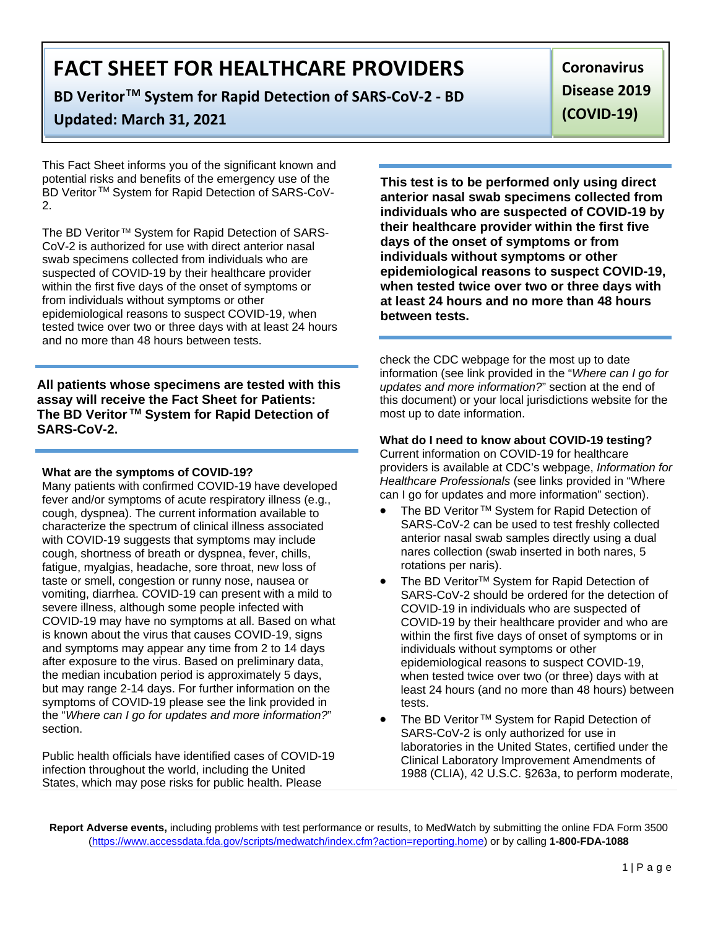## **BD VeritorTM System for Rapid Detection of SARS-CoV-2 - BD**

# **Updated: March 31, 2021**

This Fact Sheet informs you of the significant known and potential risks and benefits of the emergency use of the BD Veritor ™ System for Rapid Detection of SARS-CoV-2.

The BD Veritor ™ System for Rapid Detection of SARS-CoV-2 is authorized for use with direct anterior nasal swab specimens collected from individuals who are suspected of COVID-19 by their healthcare provider within the first five days of the onset of symptoms or from individuals without symptoms or other epidemiological reasons to suspect COVID-19, when tested twice over two or three days with at least 24 hours and no more than 48 hours between tests.

**All patients whose specimens are tested with this assay will receive the Fact Sheet for Patients: The BD Veritor TM System for Rapid Detection of SARS-CoV-2.**

#### **What are the symptoms of COVID-19?**

Many patients with confirmed COVID-19 have developed fever and/or symptoms of acute respiratory illness (e.g., cough, dyspnea). The current information available to characterize the spectrum of clinical illness associated with COVID-19 suggests that symptoms may include cough, shortness of breath or dyspnea, fever, chills, fatigue, myalgias, headache, sore throat, new loss of taste or smell, congestion or runny nose, nausea or vomiting, diarrhea. COVID-19 can present with a mild to severe illness, although some people infected with COVID-19 may have no symptoms at all. Based on what is known about the virus that causes COVID-19, signs and symptoms may appear any time from 2 to 14 days after exposure to the virus. Based on preliminary data, the median incubation period is approximately 5 days, but may range 2-14 days. For further information on the symptoms of COVID-19 please see the link provided in the "*Where can I go for updates and more information?*" section.

Public health officials have identified cases of COVID-19 infection throughout the world, including the United States, which may pose risks for public health. Please

**This test is to be performed only using direct anterior nasal swab specimens collected from individuals who are suspected of COVID-19 by their healthcare provider within the first five days of the onset of symptoms or from individuals without symptoms or other epidemiological reasons to suspect COVID-19, when tested twice over two or three days with at least 24 hours and no more than 48 hours between tests.**

check the CDC webpage for the most up to date information (see link provided in the "*Where can I go for updates and more information?*" section at the end of this document) or your local jurisdictions website for the most up to date information.

#### **What do I need to know about COVID-19 testing?**

Current information on COVID-19 for healthcare providers is available at CDC's webpage, *Information for Healthcare Professionals* (see links provided in "Where can I go for updates and more information" section).

- The BD Veritor ™ System for Rapid Detection of SARS-CoV-2 can be used to test freshly collected anterior nasal swab samples directly using a dual nares collection (swab inserted in both nares, 5 rotations per naris).
- The BD Veritor<sup>™</sup> System for Rapid Detection of SARS-CoV-2 should be ordered for the detection of COVID-19 in individuals who are suspected of COVID-19 by their healthcare provider and who are within the first five days of onset of symptoms or in individuals without symptoms or other epidemiological reasons to suspect COVID-19, when tested twice over two (or three) days with at least 24 hours (and no more than 48 hours) between tests.
- The BD Veritor ™ System for Rapid Detection of SARS-CoV-2 is only authorized for use in laboratories in the United States, certified under the Clinical Laboratory Improvement Amendments of 1988 (CLIA), 42 U.S.C. §263a, to perform moderate,

**Report Adverse events,** including problems with test performance or results, to MedWatch by submitting the online FDA Form 3500 [\(https://www.accessdata.fda.gov/scripts/medwatch/index.cfm?action=reporting.home\)](https://www.accessdata.fda.gov/scripts/medwatch/index.cfm?action=reporting.home) or by calling **1-800-FDA-1088**

**Coronavirus Disease 2019 (COVID-19)**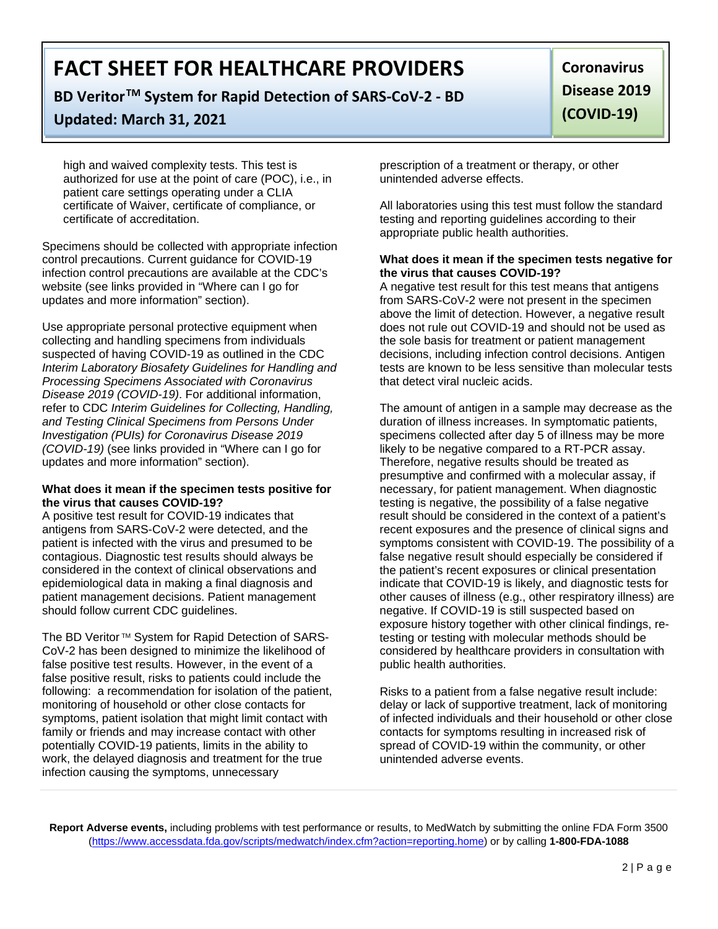### **BD VeritorTM System for Rapid Detection of SARS-CoV-2 - BD**

### **Updated: March 31, 2021**

**Coronavirus Disease 2019 (COVID-19)**

high and waived complexity tests. This test is authorized for use at the point of care (POC), i.e., in patient care settings operating under a CLIA certificate of Waiver, certificate of compliance, or certificate of accreditation.

Specimens should be collected with appropriate infection control precautions. Current guidance for COVID-19 infection control precautions are available at the CDC's website (see links provided in "Where can I go for updates and more information" section).

Use appropriate personal protective equipment when collecting and handling specimens from individuals suspected of having COVID-19 as outlined in the CDC *Interim Laboratory Biosafety Guidelines for Handling and Processing Specimens Associated with Coronavirus Disease 2019 (COVID-19)*. For additional information, refer to CDC *Interim Guidelines for Collecting, Handling, and Testing Clinical Specimens from Persons Under Investigation (PUIs) for Coronavirus Disease 2019 (COVID-19)* (see links provided in "Where can I go for updates and more information" section).

#### **What does it mean if the specimen tests positive for the virus that causes COVID-19?**

A positive test result for COVID-19 indicates that antigens from SARS-CoV-2 were detected, and the patient is infected with the virus and presumed to be contagious. Diagnostic test results should always be considered in the context of clinical observations and epidemiological data in making a final diagnosis and patient management decisions. Patient management should follow current CDC guidelines.

The BD Veritor ™ System for Rapid Detection of SARS-CoV-2 has been designed to minimize the likelihood of false positive test results. However, in the event of a false positive result, risks to patients could include the following: a recommendation for isolation of the patient, monitoring of household or other close contacts for symptoms, patient isolation that might limit contact with family or friends and may increase contact with other potentially COVID-19 patients, limits in the ability to work, the delayed diagnosis and treatment for the true infection causing the symptoms, unnecessary

prescription of a treatment or therapy, or other unintended adverse effects.

All laboratories using this test must follow the standard testing and reporting guidelines according to their appropriate public health authorities.

#### **What does it mean if the specimen tests negative for the virus that causes COVID-19?**

A negative test result for this test means that antigens from SARS-CoV-2 were not present in the specimen above the limit of detection. However, a negative result does not rule out COVID-19 and should not be used as the sole basis for treatment or patient management decisions, including infection control decisions. Antigen tests are known to be less sensitive than molecular tests that detect viral nucleic acids.

The amount of antigen in a sample may decrease as the duration of illness increases. In symptomatic patients, specimens collected after day 5 of illness may be more likely to be negative compared to a RT-PCR assay. Therefore, negative results should be treated as presumptive and confirmed with a molecular assay, if necessary, for patient management. When diagnostic testing is negative, the possibility of a false negative result should be considered in the context of a patient's recent exposures and the presence of clinical signs and symptoms consistent with COVID-19. The possibility of a false negative result should especially be considered if the patient's recent exposures or clinical presentation indicate that COVID-19 is likely, and diagnostic tests for other causes of illness (e.g., other respiratory illness) are negative. If COVID-19 is still suspected based on exposure history together with other clinical findings, retesting or testing with molecular methods should be considered by healthcare providers in consultation with public health authorities.

Risks to a patient from a false negative result include: delay or lack of supportive treatment, lack of monitoring of infected individuals and their household or other close contacts for symptoms resulting in increased risk of spread of COVID-19 within the community, or other unintended adverse events.

**Report Adverse events,** including problems with test performance or results, to MedWatch by submitting the online FDA Form 3500 [\(https://www.accessdata.fda.gov/scripts/medwatch/index.cfm?action=reporting.home\)](https://www.accessdata.fda.gov/scripts/medwatch/index.cfm?action=reporting.home) or by calling **1-800-FDA-1088**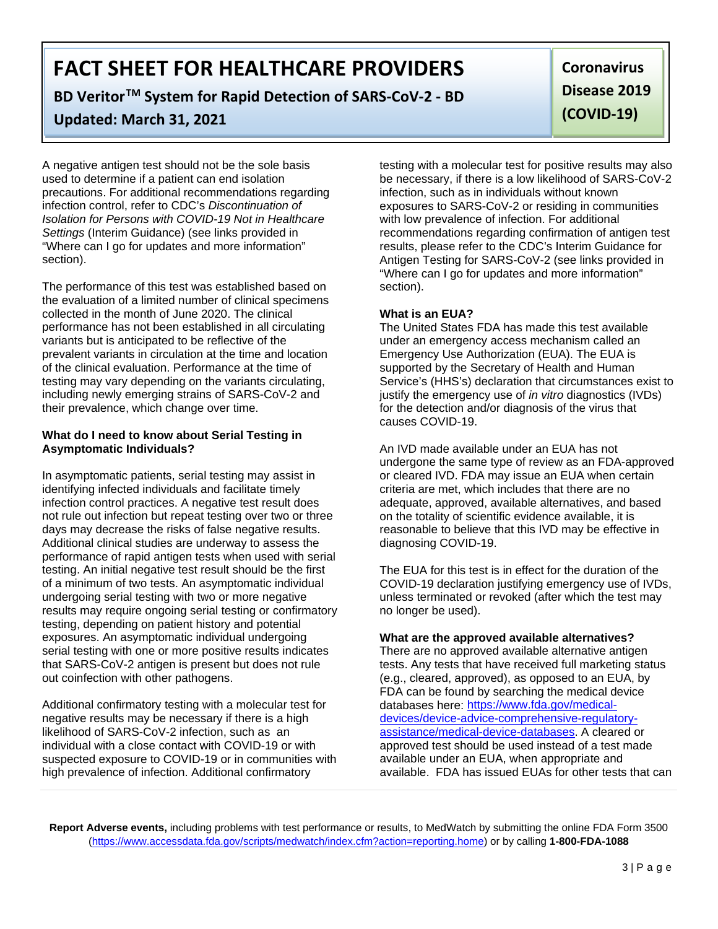# **BD VeritorTM System for Rapid Detection of SARS-CoV-2 - BD**

# **Updated: March 31, 2021**

A negative antigen test should not be the sole basis used to determine if a patient can end isolation precautions. For additional recommendations regarding infection control, refer to CDC's *Discontinuation of Isolation for Persons with COVID-19 Not in Healthcare Settings* (Interim Guidance) (see links provided in "Where can I go for updates and more information" section).

The performance of this test was established based on the evaluation of a limited number of clinical specimens collected in the month of June 2020. The clinical performance has not been established in all circulating variants but is anticipated to be reflective of the prevalent variants in circulation at the time and location of the clinical evaluation. Performance at the time of testing may vary depending on the variants circulating, including newly emerging strains of SARS-CoV-2 and their prevalence, which change over time.

#### **What do I need to know about Serial Testing in Asymptomatic Individuals?**

In asymptomatic patients, serial testing may assist in identifying infected individuals and facilitate timely infection control practices. A negative test result does not rule out infection but repeat testing over two or three days may decrease the risks of false negative results. Additional clinical studies are underway to assess the performance of rapid antigen tests when used with serial testing. An initial negative test result should be the first of a minimum of two tests. An asymptomatic individual undergoing serial testing with two or more negative results may require ongoing serial testing or confirmatory testing, depending on patient history and potential exposures. An asymptomatic individual undergoing serial testing with one or more positive results indicates that SARS-CoV-2 antigen is present but does not rule out coinfection with other pathogens.

Additional confirmatory testing with a molecular test for negative results may be necessary if there is a high likelihood of SARS-CoV-2 infection, such as an individual with a close contact with COVID-19 or with suspected exposure to COVID-19 or in communities with high prevalence of infection. Additional confirmatory

testing with a molecular test for positive results may also be necessary, if there is a low likelihood of SARS-CoV-2 infection, such as in individuals without known exposures to SARS-CoV-2 or residing in communities with low prevalence of infection. For additional recommendations regarding confirmation of antigen test results, please refer to the CDC's Interim Guidance for Antigen Testing for SARS-CoV-2 (see links provided in "Where can I go for updates and more information" section).

#### **What is an EUA?**

The United States FDA has made this test available under an emergency access mechanism called an Emergency Use Authorization (EUA). The EUA is supported by the Secretary of Health and Human Service's (HHS's) declaration that circumstances exist to justify the emergency use of *in vitro* diagnostics (IVDs) for the detection and/or diagnosis of the virus that causes COVID-19.

An IVD made available under an EUA has not undergone the same type of review as an FDA-approved or cleared IVD. FDA may issue an EUA when certain criteria are met, which includes that there are no adequate, approved, available alternatives, and based on the totality of scientific evidence available, it is reasonable to believe that this IVD may be effective in diagnosing COVID-19.

The EUA for this test is in effect for the duration of the COVID-19 declaration justifying emergency use of IVDs, unless terminated or revoked (after which the test may no longer be used).

#### **What are the approved available alternatives?**

There are no approved available alternative antigen tests. Any tests that have received full marketing status (e.g., cleared, approved), as opposed to an EUA, by FDA can be found by searching the medical device databases here: [https://www.fda.gov/medical](https://www.fda.gov/medical-devices/device-advice-comprehensive-regulatory-assistance/medical-device-databases)[devices/device-advice-comprehensive-regulatory](https://www.fda.gov/medical-devices/device-advice-comprehensive-regulatory-assistance/medical-device-databases)[assistance/medical-device-databases.](https://www.fda.gov/medical-devices/device-advice-comprehensive-regulatory-assistance/medical-device-databases) A cleared or approved test should be used instead of a test made available under an EUA, when appropriate and available. FDA has issued EUAs for other tests that can

**Report Adverse events,** including problems with test performance or results, to MedWatch by submitting the online FDA Form 3500 [\(https://www.accessdata.fda.gov/scripts/medwatch/index.cfm?action=reporting.home\)](https://www.accessdata.fda.gov/scripts/medwatch/index.cfm?action=reporting.home) or by calling **1-800-FDA-1088**

**Coronavirus Disease 2019 (COVID-19)**